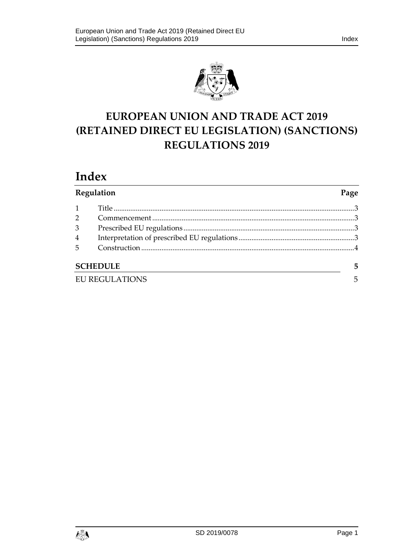

## **EUROPEAN UNION AND TRADE ACT 2019 (RETAINED DIRECT EU LEGISLATION) (SANCTIONS) REGULATIONS 2019**

# **Index**

| Regulation            |  | Page |  |
|-----------------------|--|------|--|
|                       |  |      |  |
| $\overline{2}$        |  |      |  |
| 3                     |  |      |  |
| 4                     |  |      |  |
| 5                     |  |      |  |
| <b>SCHEDULE</b>       |  | 5    |  |
| <b>EU REGULATIONS</b> |  | 5    |  |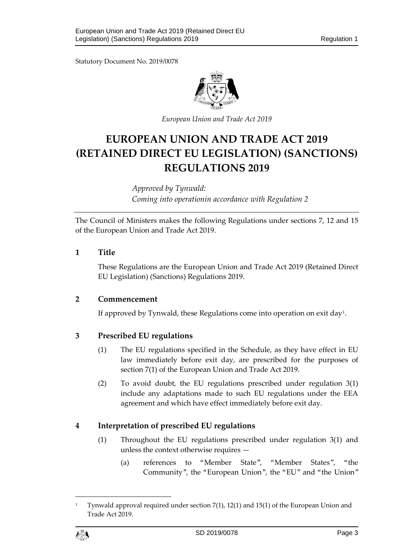Statutory Document No. 2019/0078



*European Union and Trade Act 2019*

## **EUROPEAN UNION AND TRADE ACT 2019 (RETAINED DIRECT EU LEGISLATION) (SANCTIONS) REGULATIONS 2019**

*Approved by Tynwald: Coming into operationin accordance with Regulation 2*

The Council of Ministers makes the following Regulations under sections 7, 12 and 15 of the European Union and Trade Act 2019.

#### <span id="page-2-0"></span>**1 Title**

These Regulations are the European Union and Trade Act 2019 (Retained Direct EU Legislation) (Sanctions) Regulations 2019.

#### <span id="page-2-1"></span>**2 Commencement**

If approved by Tynwald, these Regulations come into operation on exit day<sup>[1](#page-2-4)</sup>.

## <span id="page-2-2"></span>**3 Prescribed EU regulations**

- (1) The EU regulations specified in the Schedule, as they have effect in EU law immediately before exit day, are prescribed for the purposes of section 7(1) of the European Union and Trade Act 2019.
- (2) To avoid doubt, the EU regulations prescribed under regulation 3(1) include any adaptations made to such EU regulations under the EEA agreement and which have effect immediately before exit day.

## <span id="page-2-3"></span>**4 Interpretation of prescribed EU regulations**

- (1) Throughout the EU regulations prescribed under regulation 3(1) and unless the context otherwise requires —
	- (a) references to "Member State", "Member States", "the Community", the "European Union", the "EU" and "the Union"

 $\overline{a}$ 

<span id="page-2-4"></span><sup>1</sup> Tynwald approval required under section 7(1), 12(1) and 15(1) of the European Union and Trade Act 2019.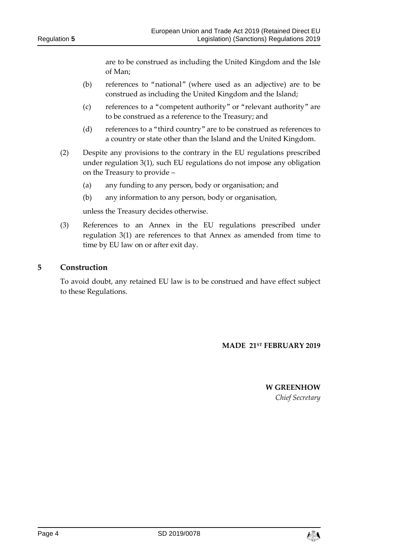are to be construed as including the United Kingdom and the Isle of Man;

- (b) references to "national" (where used as an adjective) are to be construed as including the United Kingdom and the Island;
- (c) references to a "competent authority" or "relevant authority" are to be construed as a reference to the Treasury; and
- (d) references to a "third country" are to be construed as references to a country or state other than the Island and the United Kingdom.
- (2) Despite any provisions to the contrary in the EU regulations prescribed under regulation 3(1), such EU regulations do not impose any obligation on the Treasury to provide –
	- (a) any funding to any person, body or organisation; and
	- (b) any information to any person, body or organisation,

unless the Treasury decides otherwise.

(3) References to an Annex in the EU regulations prescribed under regulation 3(1) are references to that Annex as amended from time to time by EU law on or after exit day.

#### <span id="page-3-0"></span>**5 Construction**

To avoid doubt, any retained EU law is to be construed and have effect subject to these Regulations.

#### **MADE 21ST FEBRUARY 2019**

**W GREENHOW** *Chief Secretary*

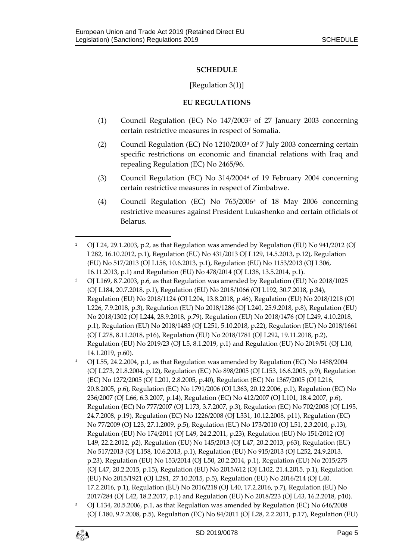#### **SCHEDULE**

#### [Regulation 3(1)]

#### **EU REGULATIONS**

- <span id="page-4-1"></span><span id="page-4-0"></span>(1) Council Regulation (EC) No 147/2003[2](#page-4-2) of 27 January 2003 concerning certain restrictive measures in respect of Somalia.
- (2) Council Regulation (EC) No 1210/2003[3](#page-4-3) of 7 July 2003 concerning certain specific restrictions on economic and financial relations with Iraq and repealing Regulation (EC) No 2465/96.
- (3) Council Regulation (EC) No 314/2004[4](#page-4-4) of 19 February 2004 concerning certain restrictive measures in respect of Zimbabwe.
- (4) Council Regulation (EC) No 765/2006[5](#page-4-5) of 18 May 2006 concerning restrictive measures against President Lukashenko and certain officials of Belarus.

- <span id="page-4-3"></span><sup>3</sup> OJ L169, 8.7.2003, p.6, as that Regulation was amended by Regulation (EU) No 2018/1025 (OJ L184, 20.7.2018, p.1), Regulation (EU) No 2018/1066 (OJ L192, 30.7.2018, p.34), Regulation (EU) No 2018/1124 (OJ L204, 13.8.2018, p.46), Regulation (EU) No 2018/1218 (OJ L226, 7.9.2018, p.3), Regulation (EU) No 2018/1286 (OJ L240, 25.9.2018, p.8), Regulation (EU) No 2018/1302 (OJ L244, 28.9.2018, p.79), Regulation (EU) No 2018/1476 (OJ L249, 4.10.2018, p.1), Regulation (EU) No 2018/1483 (OJ L251, 5.10.2018, p.22), Regulation (EU) No 2018/1661 (OJ L278, 8.11.2018, p16), Regulation (EU) No 2018/1781 (OJ L292, 19.11.2018, p.2), Regulation (EU) No 2019/23 (OJ L5, 8.1.2019, p.1) and Regulation (EU) No 2019/51 (OJ L10, 14.1.2019, p.60).
- <span id="page-4-4"></span><sup>4</sup> OJ L55, 24.2.2004, p.1, as that Regulation was amended by Regulation (EC) No 1488/2004 (OJ L273, 21.8.2004, p.12), Regulation (EC) No 898/2005 (OJ L153, 16.6.2005, p.9), Regulation (EC) No 1272/2005 (OJ L201, 2.8.2005, p.40), Regulation (EC) No 1367/2005 (OJ L216, 20.8.2005, p.6), Regulation (EC) No 1791/2006 (OJ L363, 20.12.2006, p.1), Regulation (EC) No 236/2007 (OJ L66, 6.3.2007, p.14), Regulation (EC) No 412/2007 (OJ L101, 18.4.2007, p.6), Regulation (EC) No 777/2007 (OJ L173, 3.7.2007, p.3), Regulation (EC) No 702/2008 (OJ L195, 24.7.2008, p.19), Regulation (EC) No 1226/2008 (OJ L331, 10.12.2008, p11), Regulation (EC) No 77/2009 (OJ L23, 27.1.2009, p.5), Regulation (EU) No 173/2010 (OJ L51, 2.3.2010, p.13), Regulation (EU) No 174/2011 (OJ L49, 24.2.2011, p.23), Regulation (EU) No 151/2012 (OJ L49, 22.2.2012, p2), Regulation (EU) No 145/2013 (OJ L47, 20.2.2013, p63), Regulation (EU) No 517/2013 (OJ L158, 10.6.2013, p.1), Regulation (EU) No 915/2013 (OJ L252, 24.9.2013, p.23), Regulation (EU) No 153/2014 (OJ L50, 20.2.2014, p.1), Regulation (EU) No 2015/275 (OJ L47, 20.2.2015, p.15), Regulation (EU) No 2015/612 (OJ L102, 21.4.2015, p.1), Regulation (EU) No 2015/1921 (OJ L281, 27.10.2015, p.5), Regulation (EU) No 2016/214 (OJ L40. 17.2.2016, p.1), Regulation (EU) No 2016/218 (OJ L40, 17.2.2016, p.7), Regulation (EU) No 2017/284 (OJ L42, 18.2.2017, p.1) and Regulation (EU) No 2018/223 (OJ L43, 16.2.2018, p10).
- <span id="page-4-5"></span><sup>5</sup> OJ L134, 20.5.2006, p.1, as that Regulation was amended by Regulation (EC) No 646/2008 (OJ L180, 9.7.2008, p.5), Regulation (EC) No 84/2011 (OJ L28, 2.2.2011, p.17), Regulation (EU)



 $\overline{a}$ 

<span id="page-4-2"></span><sup>2</sup> OJ L24, 29.1.2003, p.2, as that Regulation was amended by Regulation (EU) No 941/2012 (OJ L282, 16.10.2012, p.1), Regulation (EU) No 431/2013 OJ L129, 14.5.2013, p.12), Regulation (EU) No 517/2013 (OJ L158, 10.6.2013, p.1), Regulation (EU) No 1153/2013 (OJ L306, 16.11.2013, p.1) and Regulation (EU) No 478/2014 (OJ L138, 13.5.2014, p.1).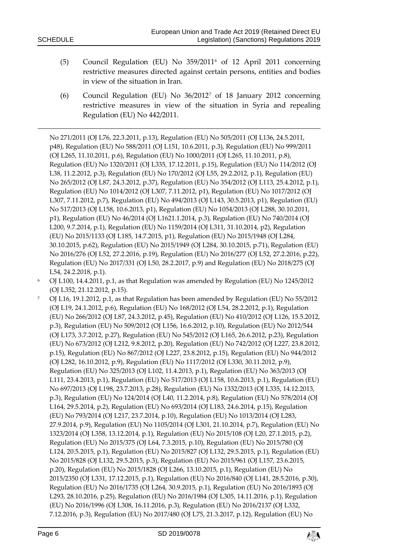1

- (5) Council Regulation (EU) No 359/2011[6](#page-5-0) of 12 April 2011 concerning restrictive measures directed against certain persons, entities and bodies in view of the situation in Iran.
- (6) Council Regulation (EU) No 36/2012[7](#page-5-1) of 18 January 2012 concerning restrictive measures in view of the situation in Syria and repealing Regulation (EU) No 442/2011.

No 271/2011 (OJ L76, 22.3.2011, p.13), Regulation (EU) No 505/2011 (OJ L136, 24.5.2011, p48), Regulation (EU) No 588/2011 (OJ L151, 10.6.2011, p.3), Regulation (EU) No 999/2011 (OJ L265, 11.10.2011, p.6), Regulation (EU) No 1000/2011 (OJ L265, 11.10.2011, p.8), Regulation (EU) No 1320/2011 (OJ L335, 17.12.2011, p.15), Regulation (EU) No 114/2012 (OJ L38, 11.2.2012, p.3), Regulation (EU) No 170/2012 (OJ L55, 29.2.2012, p.1), Regulation (EU) No 265/2012 (OJ L87, 24.3.2012, p.37), Regulation (EU) No 354/2012 (OJ L113, 25.4.2012, p.1), Regulation (EU) No 1014/2012 (OJ L307, 7.11.2012, p1), Regulation (EU) No 1017/2012 (OJ L307, 7.11.2012, p.7), Regulation (EU) No 494/2013 (OJ L143, 30.5.2013, p1), Regulation (EU) No 517/2013 (OJ L158, 10.6.2013, p1), Regulation (EU) No 1054/2013 (OJ L288, 30.10.2011, p1), Regulation (EU) No 46/2014 (OJ L1621.1.2014, p.3), Regulation (EU) No 740/2014 (OJ L200, 9.7.2014, p.1), Regulation (EU) No 1159/2014 (OJ L311, 31.10.2014, p2), Regulation (EU) No 2015/1133 (OJ L185, 14.7.2015, p1), Regulation (EU) No 2015/1948 (OJ L284, 30.10.2015, p.62), Regulation (EU) No 2015/1949 (OJ L284, 30.10.2015, p.71), Regulation (EU) No 2016/276 (OJ L52, 27.2.2016, p.19), Regulation (EU) No 2016/277 (OJ L52, 27.2.2016, p.22), Regulation (EU) No 2017/331 (OJ L50, 28.2.2017, p.9) and Regulation (EU) No 2018/275 (OJ L54, 24.2.2018, p.1).

- <span id="page-5-0"></span><sup>6</sup> OJ L100, 14.4.2011, p.1, as that Regulation was amended by Regulation (EU) No 1245/2012 (OJ L352, 21.12.2012, p.15).
- <span id="page-5-1"></span><sup>7</sup> OJ L16, 19.1.2012, p.1, as that Regulation has been amended by Regulation (EU) No 55/2012 (OJ L19, 24.1.2012, p.6), Regulation (EU) No 168/2012 (OJ L54, 28.2.2012, p.1), Regulation (EU) No 266/2012 (OJ L87, 24.3.2012, p.45), Regulation (EU) No 410/2012 (OJ L126, 15.5.2012, p.3), Regulation (EU) No 509/2012 (OJ L156, 16.6.2012, p.10), Regulation (EU) No 2012/544 (OJ L173, 3.7.2012, p.27), Regulation (EU) No 545/2012 (OJ L165, 26.6.2012, p.23), Regulation (EU) No 673/2012 (OJ L212, 9.8.2012, p.20), Regulation (EU) No 742/2012 (OJ L227, 23.8.2012, p.15), Regulation (EU) No 867/2012 (OJ L227, 23.8.2012, p.15), Regulation (EU) No 944/2012 (OJ L282, 16.10.2012, p.9), Regulation (EU) No 1117/2012 (OJ L330, 30.11.2012, p.9), Regulation (EU) No 325/2013 (OJ L102, 11.4.2013, p.1), Regulation (EU) No 363/2013 (OJ L111, 23.4.2013, p.1), Regulation (EU) No 517/2013 (OJ L158, 10.6.2013, p.1), Regulation (EU) No 697/2013 (OJ L198, 23.7.2013, p.28), Regulation (EU) No 1332/2013 (OJ L335, 14.12.2013, p.3), Regulation (EU) No 124/2014 (OJ L40, 11.2.2014, p.8), Regulation (EU) No 578/2014 (OJ L164, 29.5.2014, p.2), Regulation (EU) No 693/2014 (OJ L183, 24.6.2014, p.15), Regulation (EU) No 793/2014 (OJ L217, 23.7.2014, p.10), Regulation (EU) No 1013/2014 (OJ L283, 27.9.2014, p.9), Regulation (EU) No 1105/2014 (OJ L301, 21.10.2014, p.7), Regulation (EU) No 1323/2014 (OJ L358, 13.12.2014, p.1), Regulation (EU) No 2015/108 (OJ L20, 27.1.2015, p.2), Regulation (EU) No 2015/375 (OJ L64, 7.3.2015, p.10), Regulation (EU) No 2015/780 (OJ L124, 20.5.2015, p.1), Regulation (EU) No 2015/827 (OJ L132, 29.5.2015, p.1), Regulation (EU) No 2015/828 (OJ L132, 29.5.2015, p.3), Regulation (EU) No 2015/961 (OJ L157, 23.6.2015, p.20), Regulation (EU) No 2015/1828 (OJ L266, 13.10.2015, p.1), Regulation (EU) No 2015/2350 (OJ L331, 17.12.2015, p.1), Regulation (EU) No 2016/840 (OJ L141, 28.5.2016, p.30), Regulation (EU) No 2016/1735 (OJ L264, 30.9.2015, p.1), Regulation (EU) No 2016/1893 (OJ L293, 28.10.2016, p.25), Regulation (EU) No 2016/1984 (OJ L305, 14.11.2016, p.1), Regulation (EU) No 2016/1996 (OJ L308, 16.11.2016, p.3), Regulation (EU) No 2016/2137 (OJ L332, 7.12.2016, p.3), Regulation (EU) No 2017/480 (OJ L75, 21.3.2017, p.12), Regulation (EU) No

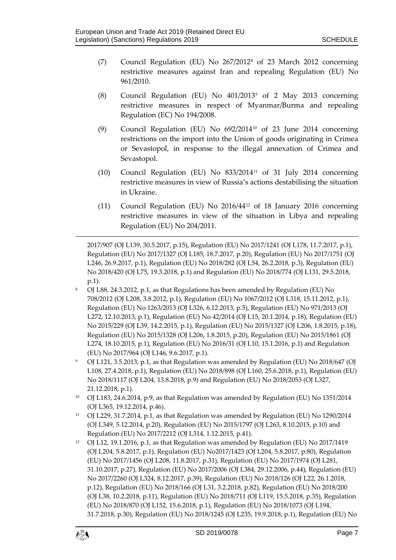- (7) Council Regulation (EU) No 267/2012[8](#page-6-0) of 23 March 2012 concerning restrictive measures against Iran and repealing Regulation (EU) No 961/2010.
- (8) Council Regulation (EU) No 401/2013[9](#page-6-1) of 2 May 2013 concerning restrictive measures in respect of Myanmar/Burma and repealing Regulation (EC) No 194/2008.
- (9) Council Regulation (EU) No 692/2014[10](#page-6-2) of 23 June 2014 concerning restrictions on the import into the Union of goods originating in Crimea or Sevastopol, in response to the illegal annexation of Crimea and Sevastopol.
- (10) Council Regulation (EU) No 833/2014[11](#page-6-3) of 31 July 2014 concerning restrictive measures in view of Russia's actions destabilising the situation in Ukraine.
- (11) Council Regulation (EU) No 2016/44[12](#page-6-4) of 18 January 2016 concerning restrictive measures in view of the situation in Libya and repealing Regulation (EU) No 204/2011.

2017/907 (OJ L139, 30.5.2017, p.15), Regulation (EU) No 2017/1241 (OJ L178, 11.7.2017, p.1), Regulation (EU) No 2017/1327 (OJ L185, 18.7.2017, p.20), Regulation (EU) No 2017/1751 (OJ L246, 26.9.2017, p.1), Regulation (EU) No 2018/282 (OJ L54, 26.2.2018, p.3), Regulation (EU) No 2018/420 (OJ L75, 19.3.2018, p.1) and Regulation (EU) No 2018/774 (OJ L131, 29.5.2018, p.1).

- <span id="page-6-0"></span><sup>8</sup> OJ L88, 24.3.2012, p.1, as that Regulations has been amended by Regulation (EU) No 708/2012 (OJ L208, 3.8.2012, p.1), Regulation (EU) No 1067/2012 (OJ L318, 15.11.2012, p.1), Regulation (EU) No 1263/2013 (OJ L326, 6.12.2013, p.5), Regulation (EU) No 971/2013 (OJ L272, 12.10.2013, p.1), Regulation (EU) No 42/2014 (OJ L15, 20.1.2014, p.18), Regulation (EU) No 2015/229 (OJ L39, 14.2.2015, p.1), Regulation (EU) No 2015/1327 (OJ L206, 1.8.2015, p.18), Regulation (EU) No 2015/1328 (OJ L206, 1.8.2015, p.20), Regulation (EU) No 2015/1861 (OJ L274, 18.10.2015, p.1), Regulation (EU) No 2016/31 (OJ L10, 15.1.2016, p.1) and Regulation (EU) No 2017/964 (OJ L146, 9.6.2017, p.1).
- <span id="page-6-1"></span><sup>9</sup> OJ L121, 3.5.2013, p.1, as that Regulation was amended by Regulation (EU) No 2018/647 (OJ L108, 27.4.2018, p.1), Regulation (EU) No 2018/898 (OJ L160, 25.6.2018, p.1), Regulation (EU) No 2018/1117 (OJ L204, 13.8.2018, p.9) and Regulation (EU) No 2018/2053 (OJ L327, 21.12.2018, p.1).
- <span id="page-6-2"></span><sup>10</sup> OJ L183, 24.6.2014, p.9, as that Regulation was amended by Regulation (EU) No 1351/2014 (OJ L365, 19.12.2014, p.46).
- <span id="page-6-3"></span><sup>11</sup> OJ L229, 31.7.2014, p.1, as that Regulation was amended by Regulation (EU) No 1290/2014 (OJ L349, 5.12.2014, p.20), Regulation (EU) No 2015/1797 (OJ L263, 8.10.2015, p.10) and Regulation (EU) No 2017/2212 (OJ L314, 1.12.2015, p.41).
- <span id="page-6-4"></span><sup>12</sup> OJ L12, 19.1.2016, p.1, as that Regulation was amended by Regulation (EU) No 2017/1419 (OJ L204, 5.8.2017, p.1), Regulation (EU) No2017/1423 (OJ L204, 5.8.2017, p.80), Regulation (EU) No 2017/1456 (OJ L208, 11.8.2017, p.31), Regulation (EU) No 2017/1974 (OJ L281, 31.10.2017, p.27), Regulation (EU) No 2017/2006 (OJ L384, 29.12.2006, p.44), Regulation (EU) No 2017/2260 (OJ L324, 8.12.2017, p.39), Regulation (EU) No 2018/126 (OJ L22, 26.1.2018, p.12), Regulation (EU) No 2018/166 (OJ L31, 3.2.2018, p.82), Regulation (EU) No 2018/200 (OJ L38, 10.2.2018, p.11), Regulation (EU) No 2018/711 (OJ L119, 15.5.2018, p.35), Regulation (EU) No 2018/870 (OJ L152, 15.6.2018, p.1), Regulation (EU) No 2018/1073 (OJ L194, 31.7.2018, p.30), Regulation (EU) No 2018/1245 (OJ L235, 19.9.2018, p.1), Regulation (EU) No



 $\overline{a}$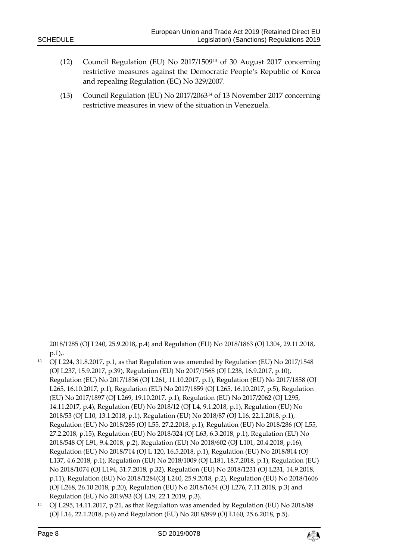- (12) Council Regulation (EU) No 2017/1509[13](#page-7-0) of 30 August 2017 concerning restrictive measures against the Democratic People's Republic of Korea and repealing Regulation (EC) No 329/2007.
- (13) Council Regulation (EU) No 2017/2063[14](#page-7-1) of 13 November 2017 concerning restrictive measures in view of the situation in Venezuela.

2018/1285 (OJ L240, 25.9.2018, p.4) and Regulation (EU) No 2018/1863 (OJ L304, 29.11.2018, p.1),.

- <span id="page-7-0"></span><sup>13</sup> OJ L224, 31.8.2017, p.1, as that Regulation was amended by Regulation (EU) No 2017/1548 (OJ L237, 15.9.2017, p.39), Regulation (EU) No 2017/1568 (OJ L238, 16.9.2017, p.10), Regulation (EU) No 2017/1836 (OJ L261, 11.10.2017, p.1), Regulation (EU) No 2017/1858 (OJ L265, 16.10.2017, p.1), Regulation (EU) No 2017/1859 (OJ L265, 16.10.2017, p.5), Regulation (EU) No 2017/1897 (OJ L269, 19.10.2017, p.1), Regulation (EU) No 2017/2062 (OJ L295, 14.11.2017, p.4), Regulation (EU) No 2018/12 (OJ L4, 9.1.2018, p.1), Regulation (EU) No 2018/53 (OJ L10, 13.1.2018, p.1), Regulation (EU) No 2018/87 (OJ L16, 22.1.2018, p.1), Regulation (EU) No 2018/285 (OJ L55, 27.2.2018, p.1), Regulation (EU) No 2018/286 (OJ L55, 27.2.2018, p.15), Regulation (EU) No 2018/324 (OJ L63, 6.3.2018, p.1), Regulation (EU) No 2018/548 OJ L91, 9.4.2018, p.2), Regulation (EU) No 2018/602 (OJ L101, 20.4.2018, p.16), Regulation (EU) No 2018/714 (OJ L 120, 16.5.2018, p.1), Regulation (EU) No 2018/814 (OJ L137, 4.6.2018, p.1), Regulation (EU) No 2018/1009 (OJ L181, 18.7.2018, p.1), Regulation (EU) No 2018/1074 (OJ L194, 31.7.2018, p.32), Regulation (EU) No 2018/1231 (OJ L231, 14.9.2018, p.11), Regulation (EU) No 2018/1284(OJ L240, 25.9.2018, p.2), Regulation (EU) No 2018/1606 (OJ L268, 26.10.2018, p.20), Regulation (EU) No 2018/1654 (OJ L276, 7.11.2018, p.3) and Regulation (EU) No 2019/93 (OJ L19, 22.1.2019, p.3).
- <span id="page-7-1"></span><sup>14</sup> OJ L295, 14.11.2017, p.21, as that Regulation was amended by Regulation (EU) No 2018/88 (OJ L16, 22.1.2018, p.6) and Regulation (EU) No 2018/899 (OJ L160, 25.6.2018, p.5).

-